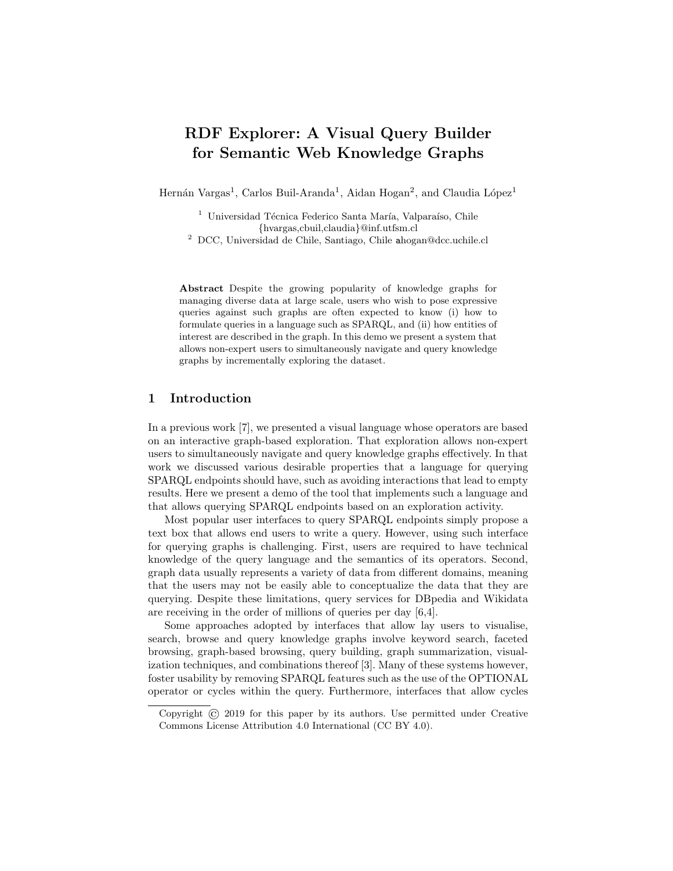# RDF Explorer: A Visual Query Builder for Semantic Web Knowledge Graphs

Hernán Vargas<sup>1</sup>, Carlos Buil-Aranda<sup>1</sup>, Aidan Hogan<sup>2</sup>, and Claudia López<sup>1</sup>

<sup>1</sup> Universidad Técnica Federico Santa María, Valparaíso, Chile {hvargas,cbuil,claudia}@inf.utfsm.cl

<sup>2</sup> DCC, Universidad de Chile, Santiago, Chile ahogan@dcc.uchile.cl

Abstract Despite the growing popularity of knowledge graphs for managing diverse data at large scale, users who wish to pose expressive queries against such graphs are often expected to know (i) how to formulate queries in a language such as SPARQL, and (ii) how entities of interest are described in the graph. In this demo we present a system that allows non-expert users to simultaneously navigate and query knowledge graphs by incrementally exploring the dataset.

## 1 Introduction

In a previous work [\[7\]](#page-3-0), we presented a visual language whose operators are based on an interactive graph-based exploration. That exploration allows non-expert users to simultaneously navigate and query knowledge graphs effectively. In that work we discussed various desirable properties that a language for querying SPARQL endpoints should have, such as avoiding interactions that lead to empty results. Here we present a demo of the tool that implements such a language and that allows querying SPARQL endpoints based on an exploration activity[.](#page-0-0)

Most popular user interfaces to query SPARQL endpoints simply propose a text box that allows end users to write a query. However, using such interface for querying graphs is challenging. First, users are required to have technical knowledge of the query language and the semantics of its operators. Second, graph data usually represents a variety of data from different domains, meaning that the users may not be easily able to conceptualize the data that they are querying. Despite these limitations, query services for DBpedia and Wikidata are receiving in the order of millions of queries per day [\[6](#page-3-1)[,4\]](#page-3-2).

Some approaches adopted by interfaces that allow lay users to visualise, search, browse and query knowledge graphs involve keyword search, faceted browsing, graph-based browsing, query building, graph summarization, visualization techniques, and combinations thereof [\[3\]](#page-3-3). Many of these systems however, foster usability by removing SPARQL features such as the use of the OPTIONAL operator or cycles within the query. Furthermore, interfaces that allow cycles

<span id="page-0-0"></span>Copyright © 2019 for this paper by its authors. Use permitted under Creative Commons License Attribution 4.0 International (CC BY 4.0).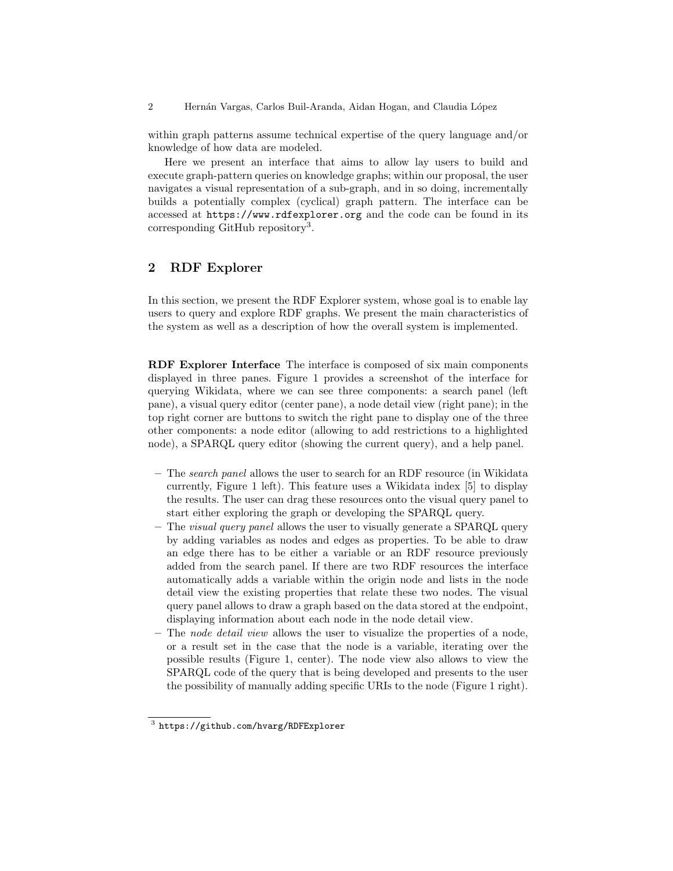2 Hernán Vargas, Carlos Buil-Aranda, Aidan Hogan, and Claudia López

within graph patterns assume technical expertise of the query language and/or knowledge of how data are modeled.

Here we present an interface that aims to allow lay users to build and execute graph-pattern queries on knowledge graphs; within our proposal, the user navigates a visual representation of a sub-graph, and in so doing, incrementally builds a potentially complex (cyclical) graph pattern. The interface can be accessed at <https://www.rdfexplorer.org> and the code can be found in its corresponding GitHub repository<sup>[3](#page-1-0)</sup>.

### 2 RDF Explorer

In this section, we present the RDF Explorer system, whose goal is to enable lay users to query and explore RDF graphs. We present the main characteristics of the system as well as a description of how the overall system is implemented.

RDF Explorer Interface The interface is composed of six main components displayed in three panes. Figure [1](#page-2-0) provides a screenshot of the interface for querying Wikidata, where we can see three components: a search panel (left pane), a visual query editor (center pane), a node detail view (right pane); in the top right corner are buttons to switch the right pane to display one of the three other components: a node editor (allowing to add restrictions to a highlighted node), a SPARQL query editor (showing the current query), and a help panel.

- The search panel allows the user to search for an RDF resource (in Wikidata currently, Figure [1](#page-2-0) left). This feature uses a Wikidata index [\[5\]](#page-3-4) to display the results. The user can drag these resources onto the visual query panel to start either exploring the graph or developing the SPARQL query.
- The *visual query panel* allows the user to visually generate a SPARQL query by adding variables as nodes and edges as properties. To be able to draw an edge there has to be either a variable or an RDF resource previously added from the search panel. If there are two RDF resources the interface automatically adds a variable within the origin node and lists in the node detail view the existing properties that relate these two nodes. The visual query panel allows to draw a graph based on the data stored at the endpoint, displaying information about each node in the node detail view.
- $-$  The node detail view allows the user to visualize the properties of a node, or a result set in the case that the node is a variable, iterating over the possible results (Figure [1,](#page-2-0) center). The node view also allows to view the SPARQL code of the query that is being developed and presents to the user the possibility of manually adding specific URIs to the node (Figure [1](#page-2-0) right).

<span id="page-1-0"></span><sup>3</sup> <https://github.com/hvarg/RDFExplorer>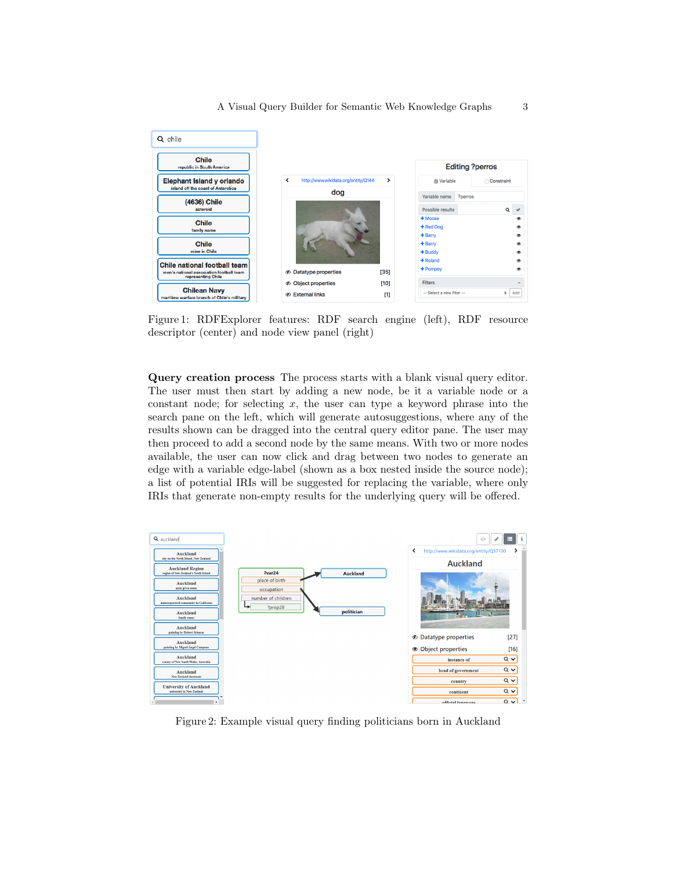<span id="page-2-0"></span>

Figure 1: RDFExplorer features: RDF search engine (left), RDF resource descriptor (center) and node view panel (right)

Query creation process The process starts with a blank visual query editor. The user must then start by adding a new node, be it a variable node or a constant node; for selecting  $x$ , the user can type a keyword phrase into the search pane on the left, which will generate autosuggestions, where any of the results shown can be dragged into the central query editor pane. The user may then proceed to add a second node by the same means. With two or more nodes available, the user can now click and drag between two nodes to generate an edge with a variable edge-label (shown as a box nested inside the source node); a list of potential IRIs will be suggested for replacing the variable, where only IRIs that generate non-empty results for the underlying query will be offered.

<span id="page-2-1"></span>

Figure 2: Example visual query finding politicians born in Auckland